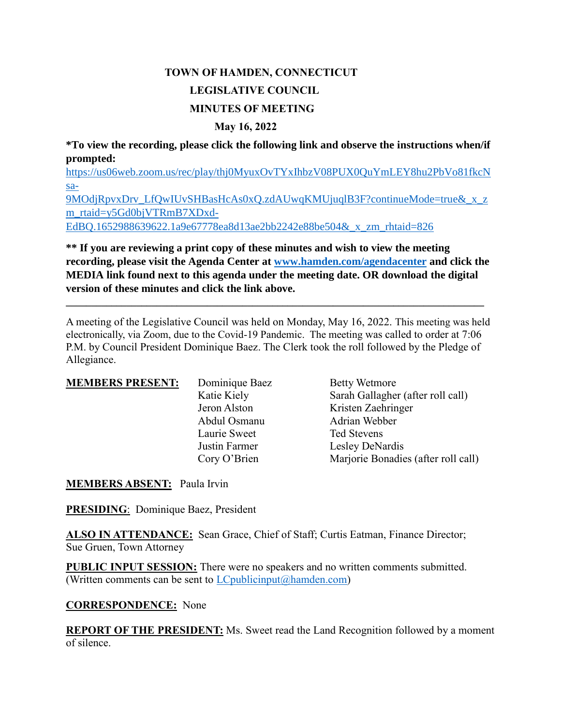# **TOWN OF HAMDEN, CONNECTICUT LEGISLATIVE COUNCIL MINUTES OF MEETING**

#### **May 16, 2022**

**\*To view the recording, please click the following link and observe the instructions when/if prompted:**

[https://us06web.zoom.us/rec/play/thj0MyuxOvTYxIhbzV08PUX0QuYmLEY8hu2PbVo81fkcN](https://us06web.zoom.us/rec/play/thj0MyuxOvTYxIhbzV08PUX0QuYmLEY8hu2PbVo81fkcNsa-9MOdjRpvxDrv_LfQwIUvSHBasHcAs0xQ.zdAUwqKMUjuqlB3F?continueMode=true&_x_zm_rtaid=y5Gd0bjVTRmB7XDxd-EdBQ.1652988639622.1a9e67778ea8d13ae2bb2242e88be504&_x_zm_rhtaid=826) [sa-](https://us06web.zoom.us/rec/play/thj0MyuxOvTYxIhbzV08PUX0QuYmLEY8hu2PbVo81fkcNsa-9MOdjRpvxDrv_LfQwIUvSHBasHcAs0xQ.zdAUwqKMUjuqlB3F?continueMode=true&_x_zm_rtaid=y5Gd0bjVTRmB7XDxd-EdBQ.1652988639622.1a9e67778ea8d13ae2bb2242e88be504&_x_zm_rhtaid=826)

[9MOdjRpvxDrv\\_LfQwIUvSHBasHcAs0xQ.zdAUwqKMUjuqlB3F?continueMode=true&\\_x\\_z](https://us06web.zoom.us/rec/play/thj0MyuxOvTYxIhbzV08PUX0QuYmLEY8hu2PbVo81fkcNsa-9MOdjRpvxDrv_LfQwIUvSHBasHcAs0xQ.zdAUwqKMUjuqlB3F?continueMode=true&_x_zm_rtaid=y5Gd0bjVTRmB7XDxd-EdBQ.1652988639622.1a9e67778ea8d13ae2bb2242e88be504&_x_zm_rhtaid=826) [m\\_rtaid=y5Gd0bjVTRmB7XDxd-](https://us06web.zoom.us/rec/play/thj0MyuxOvTYxIhbzV08PUX0QuYmLEY8hu2PbVo81fkcNsa-9MOdjRpvxDrv_LfQwIUvSHBasHcAs0xQ.zdAUwqKMUjuqlB3F?continueMode=true&_x_zm_rtaid=y5Gd0bjVTRmB7XDxd-EdBQ.1652988639622.1a9e67778ea8d13ae2bb2242e88be504&_x_zm_rhtaid=826)[EdBQ.1652988639622.1a9e67778ea8d13ae2bb2242e88be504&\\_x\\_zm\\_rhtaid=826](https://us06web.zoom.us/rec/play/thj0MyuxOvTYxIhbzV08PUX0QuYmLEY8hu2PbVo81fkcNsa-9MOdjRpvxDrv_LfQwIUvSHBasHcAs0xQ.zdAUwqKMUjuqlB3F?continueMode=true&_x_zm_rtaid=y5Gd0bjVTRmB7XDxd-EdBQ.1652988639622.1a9e67778ea8d13ae2bb2242e88be504&_x_zm_rhtaid=826)

**\*\* If you are reviewing a print copy of these minutes and wish to view the meeting recording, please visit the Agenda Center at [www.hamden.com/agendacenter](http://www.hamden.com/agendacenter) and click the MEDIA link found next to this agenda under the meeting date. OR download the digital version of these minutes and click the link above.**

**\_\_\_\_\_\_\_\_\_\_\_\_\_\_\_\_\_\_\_\_\_\_\_\_\_\_\_\_\_\_\_\_\_\_\_\_\_\_\_\_\_\_\_\_\_\_\_\_\_\_\_\_\_\_\_\_\_\_\_\_\_\_\_\_\_\_\_\_\_\_\_\_\_\_\_\_\_\_\_\_\_\_\_**

A meeting of the Legislative Council was held on Monday, May 16, 2022. This meeting was held electronically, via Zoom, due to the Covid-19 Pandemic. The meeting was called to order at 7:06 P.M. by Council President Dominique Baez. The Clerk took the roll followed by the Pledge of Allegiance.

| <b>MEMBERS PRESENT:</b> | Dominique Baez | <b>Betty Wetmore</b>                |
|-------------------------|----------------|-------------------------------------|
|                         | Katie Kiely    | Sarah Gallagher (after roll call)   |
|                         | Jeron Alston   | Kristen Zaehringer                  |
|                         | Abdul Osmanu   | Adrian Webber                       |
|                         | Laurie Sweet   | Ted Stevens                         |
|                         | Justin Farmer  | Lesley DeNardis                     |
|                         | Cory O'Brien   | Marjorie Bonadies (after roll call) |
|                         |                |                                     |

**MEMBERS ABSENT:** Paula Irvin

**PRESIDING**: Dominique Baez, President

**ALSO IN ATTENDANCE:** Sean Grace, Chief of Staff; Curtis Eatman, Finance Director; Sue Gruen, Town Attorney

**PUBLIC INPUT SESSION:** There were no speakers and no written comments submitted. (Written comments can be sent to  $LC$  publicinput $(\partial \Lambda)$  hamden.com)

#### **CORRESPONDENCE:** None

**REPORT OF THE PRESIDENT:** Ms. Sweet read the Land Recognition followed by a moment of silence.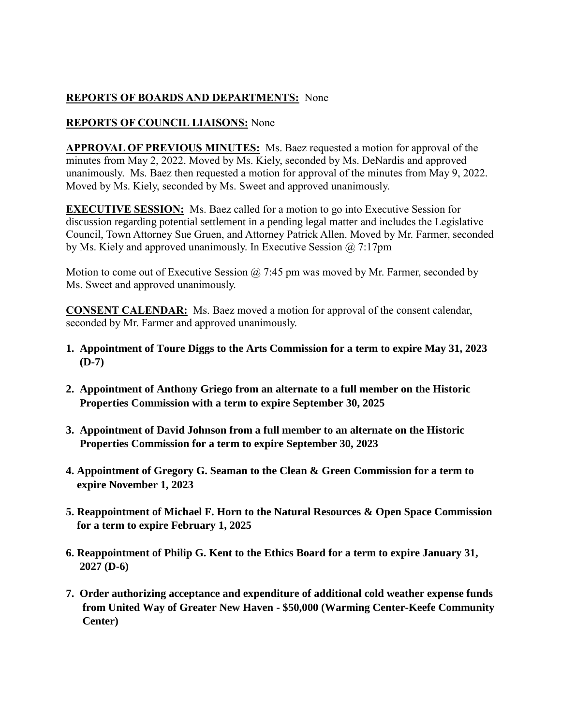## **REPORTS OF BOARDS AND DEPARTMENTS:** None

## **REPORTS OF COUNCIL LIAISONS:** None

**APPROVAL OF PREVIOUS MINUTES:** Ms. Baez requested a motion for approval of the minutes from May 2, 2022. Moved by Ms. Kiely, seconded by Ms. DeNardis and approved unanimously. Ms. Baez then requested a motion for approval of the minutes from May 9, 2022. Moved by Ms. Kiely, seconded by Ms. Sweet and approved unanimously.

**EXECUTIVE SESSION:** Ms. Baez called for a motion to go into Executive Session for discussion regarding potential settlement in a pending legal matter and includes the Legislative Council, Town Attorney Sue Gruen, and Attorney Patrick Allen. Moved by Mr. Farmer, seconded by Ms. Kiely and approved unanimously. In Executive Session @ 7:17pm

Motion to come out of Executive Session  $\omega$  7:45 pm was moved by Mr. Farmer, seconded by Ms. Sweet and approved unanimously.

**CONSENT CALENDAR:** Ms. Baez moved a motion for approval of the consent calendar, seconded by Mr. Farmer and approved unanimously.

- **1. Appointment of Toure Diggs to the Arts Commission for a term to expire May 31, 2023 (D-7)**
- **2. Appointment of Anthony Griego from an alternate to a full member on the Historic Properties Commission with a term to expire September 30, 2025**
- **3. Appointment of David Johnson from a full member to an alternate on the Historic Properties Commission for a term to expire September 30, 2023**
- **4. Appointment of Gregory G. Seaman to the Clean & Green Commission for a term to expire November 1, 2023**
- **5. Reappointment of Michael F. Horn to the Natural Resources & Open Space Commission for a term to expire February 1, 2025**
- **6. Reappointment of Philip G. Kent to the Ethics Board for a term to expire January 31, 2027 (D-6)**
- **7. Order authorizing acceptance and expenditure of additional cold weather expense funds from United Way of Greater New Haven - \$50,000 (Warming Center-Keefe Community Center)**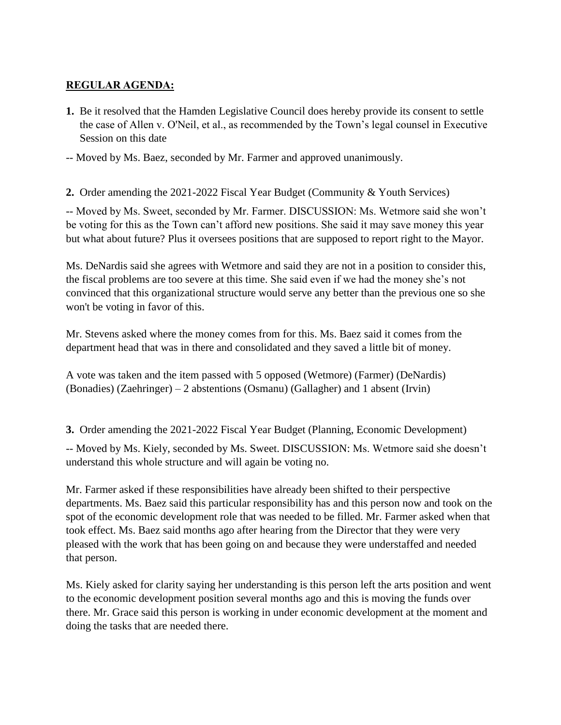### **REGULAR AGENDA:**

- **1.** Be it resolved that the Hamden Legislative Council does hereby provide its consent to settle the case of Allen v. O'Neil, et al., as recommended by the Town's legal counsel in Executive Session on this date
- -- Moved by Ms. Baez, seconded by Mr. Farmer and approved unanimously.

**2.** Order amending the 2021-2022 Fiscal Year Budget (Community & Youth Services)

-- Moved by Ms. Sweet, seconded by Mr. Farmer. DISCUSSION: Ms. Wetmore said she won't be voting for this as the Town can't afford new positions. She said it may save money this year but what about future? Plus it oversees positions that are supposed to report right to the Mayor.

Ms. DeNardis said she agrees with Wetmore and said they are not in a position to consider this, the fiscal problems are too severe at this time. She said even if we had the money she's not convinced that this organizational structure would serve any better than the previous one so she won't be voting in favor of this.

Mr. Stevens asked where the money comes from for this. Ms. Baez said it comes from the department head that was in there and consolidated and they saved a little bit of money.

A vote was taken and the item passed with 5 opposed (Wetmore) (Farmer) (DeNardis) (Bonadies) (Zaehringer) – 2 abstentions (Osmanu) (Gallagher) and 1 absent (Irvin)

**3.** Order amending the 2021-2022 Fiscal Year Budget (Planning, Economic Development)

-- Moved by Ms. Kiely, seconded by Ms. Sweet. DISCUSSION: Ms. Wetmore said she doesn't understand this whole structure and will again be voting no.

Mr. Farmer asked if these responsibilities have already been shifted to their perspective departments. Ms. Baez said this particular responsibility has and this person now and took on the spot of the economic development role that was needed to be filled. Mr. Farmer asked when that took effect. Ms. Baez said months ago after hearing from the Director that they were very pleased with the work that has been going on and because they were understaffed and needed that person.

Ms. Kiely asked for clarity saying her understanding is this person left the arts position and went to the economic development position several months ago and this is moving the funds over there. Mr. Grace said this person is working in under economic development at the moment and doing the tasks that are needed there.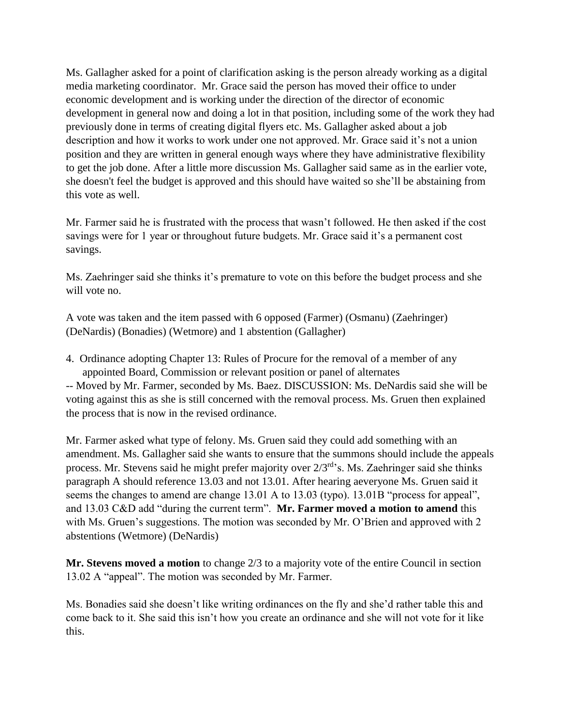Ms. Gallagher asked for a point of clarification asking is the person already working as a digital media marketing coordinator. Mr. Grace said the person has moved their office to under economic development and is working under the direction of the director of economic development in general now and doing a lot in that position, including some of the work they had previously done in terms of creating digital flyers etc. Ms. Gallagher asked about a job description and how it works to work under one not approved. Mr. Grace said it's not a union position and they are written in general enough ways where they have administrative flexibility to get the job done. After a little more discussion Ms. Gallagher said same as in the earlier vote, she doesn't feel the budget is approved and this should have waited so she'll be abstaining from this vote as well.

Mr. Farmer said he is frustrated with the process that wasn't followed. He then asked if the cost savings were for 1 year or throughout future budgets. Mr. Grace said it's a permanent cost savings.

Ms. Zaehringer said she thinks it's premature to vote on this before the budget process and she will vote no.

A vote was taken and the item passed with 6 opposed (Farmer) (Osmanu) (Zaehringer) (DeNardis) (Bonadies) (Wetmore) and 1 abstention (Gallagher)

4. Ordinance adopting Chapter 13: Rules of Procure for the removal of a member of any appointed Board, Commission or relevant position or panel of alternates

-- Moved by Mr. Farmer, seconded by Ms. Baez. DISCUSSION: Ms. DeNardis said she will be voting against this as she is still concerned with the removal process. Ms. Gruen then explained the process that is now in the revised ordinance.

Mr. Farmer asked what type of felony. Ms. Gruen said they could add something with an amendment. Ms. Gallagher said she wants to ensure that the summons should include the appeals process. Mr. Stevens said he might prefer majority over  $2/3^{rd}$ 's. Ms. Zaehringer said she thinks paragraph A should reference 13.03 and not 13.01. After hearing aeveryone Ms. Gruen said it seems the changes to amend are change 13.01 A to 13.03 (typo). 13.01B "process for appeal", and 13.03 C&D add "during the current term". **Mr. Farmer moved a motion to amend** this with Ms. Gruen's suggestions. The motion was seconded by Mr. O'Brien and approved with 2 abstentions (Wetmore) (DeNardis)

**Mr. Stevens moved a motion** to change 2/3 to a majority vote of the entire Council in section 13.02 A "appeal". The motion was seconded by Mr. Farmer.

Ms. Bonadies said she doesn't like writing ordinances on the fly and she'd rather table this and come back to it. She said this isn't how you create an ordinance and she will not vote for it like this.